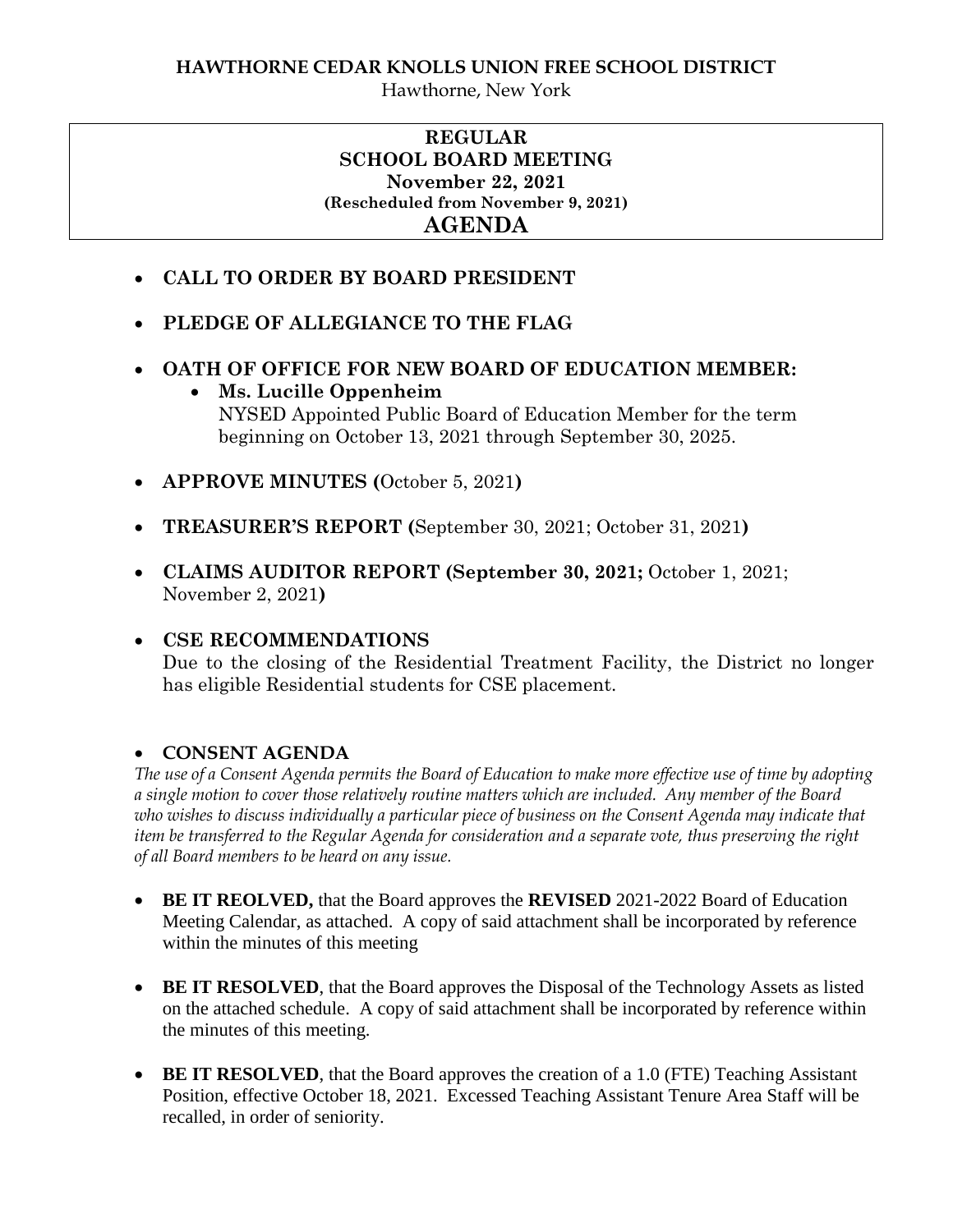# **REGULAR SCHOOL BOARD MEETING November 22, 2021 (Rescheduled from November 9, 2021) AGENDA**

## **CALL TO ORDER BY BOARD PRESIDENT**

- **PLEDGE OF ALLEGIANCE TO THE FLAG**
- **OATH OF OFFICE FOR NEW BOARD OF EDUCATION MEMBER:** 
	- **Ms. Lucille Oppenheim**  NYSED Appointed Public Board of Education Member for the term beginning on October 13, 2021 through September 30, 2025.
- **APPROVE MINUTES (**October 5, 2021**)**
- **TREASURER'S REPORT (**September 30, 2021; October 31, 2021**)**
- **CLAIMS AUDITOR REPORT (September 30, 2021;** October 1, 2021; November 2, 2021**)**

### **CSE RECOMMENDATIONS**

Due to the closing of the Residential Treatment Facility, the District no longer has eligible Residential students for CSE placement.

### **CONSENT AGENDA**

*The use of a Consent Agenda permits the Board of Education to make more effective use of time by adopting a single motion to cover those relatively routine matters which are included. Any member of the Board who wishes to discuss individually a particular piece of business on the Consent Agenda may indicate that item be transferred to the Regular Agenda for consideration and a separate vote, thus preserving the right of all Board members to be heard on any issue.* 

- **BE IT REOLVED,** that the Board approves the **REVISED** 2021-2022 Board of Education Meeting Calendar, as attached. A copy of said attachment shall be incorporated by reference within the minutes of this meeting
- **BE IT RESOLVED**, that the Board approves the Disposal of the Technology Assets as listed on the attached schedule. A copy of said attachment shall be incorporated by reference within the minutes of this meeting.
- **BE IT RESOLVED**, that the Board approves the creation of a 1.0 (FTE) Teaching Assistant Position, effective October 18, 2021. Excessed Teaching Assistant Tenure Area Staff will be recalled, in order of seniority.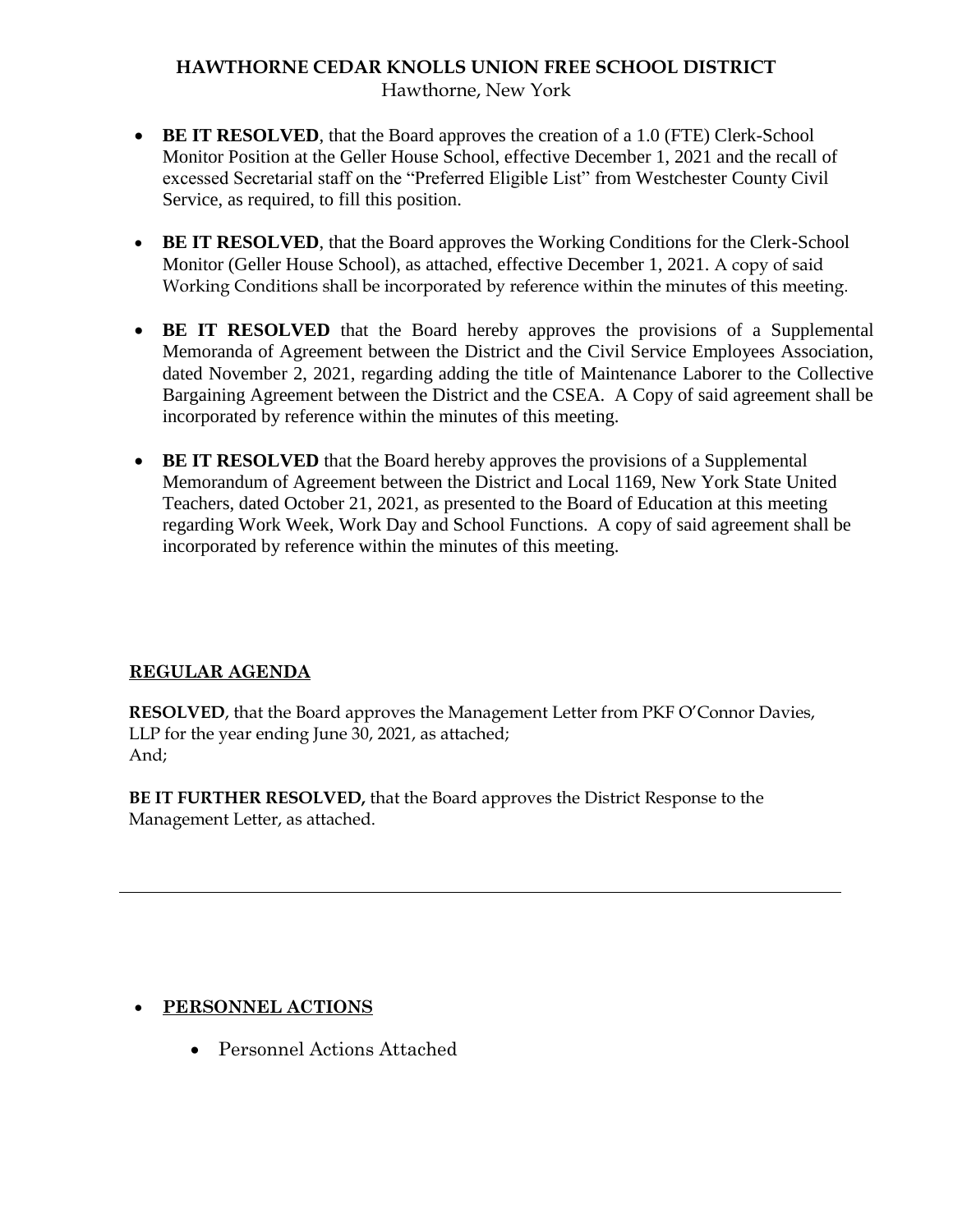## **HAWTHORNE CEDAR KNOLLS UNION FREE SCHOOL DISTRICT** Hawthorne, New York

- **BE IT RESOLVED**, that the Board approves the creation of a 1.0 (FTE) Clerk-School Monitor Position at the Geller House School, effective December 1, 2021 and the recall of excessed Secretarial staff on the "Preferred Eligible List" from Westchester County Civil Service, as required, to fill this position.
- **BE IT RESOLVED**, that the Board approves the Working Conditions for the Clerk-School Monitor (Geller House School), as attached, effective December 1, 2021. A copy of said Working Conditions shall be incorporated by reference within the minutes of this meeting.
- **BE IT RESOLVED** that the Board hereby approves the provisions of a Supplemental Memoranda of Agreement between the District and the Civil Service Employees Association, dated November 2, 2021, regarding adding the title of Maintenance Laborer to the Collective Bargaining Agreement between the District and the CSEA. A Copy of said agreement shall be incorporated by reference within the minutes of this meeting.
- **BE IT RESOLVED** that the Board hereby approves the provisions of a Supplemental Memorandum of Agreement between the District and Local 1169, New York State United Teachers, dated October 21, 2021, as presented to the Board of Education at this meeting regarding Work Week, Work Day and School Functions. A copy of said agreement shall be incorporated by reference within the minutes of this meeting.

#### **REGULAR AGENDA**

**RESOLVED**, that the Board approves the Management Letter from PKF O'Connor Davies, LLP for the year ending June 30, 2021, as attached; And;

**BE IT FURTHER RESOLVED,** that the Board approves the District Response to the Management Letter, as attached.

### **PERSONNEL ACTIONS**

Personnel Actions Attached